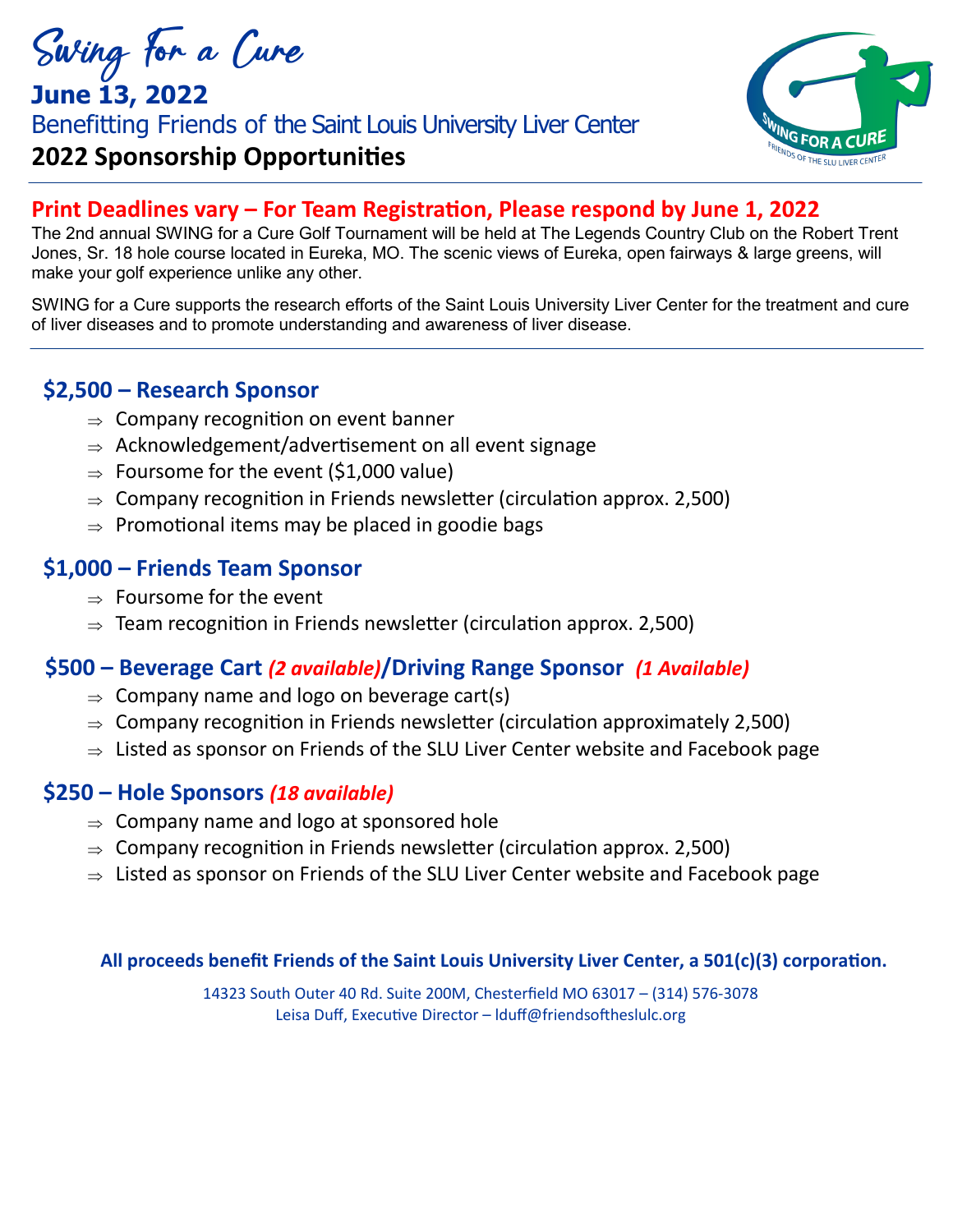Swing for a Cure

# **June 13, 2022** Benefitting Friends of the Saint Louis University Liver Center **2022 Sponsorship Opportunities**



## **Print Deadlines vary – For Team Registration, Please respond by June 1, 2022**

The 2nd annual SWING for a Cure Golf Tournament will be held at The Legends Country Club on the Robert Trent Jones, Sr. 18 hole course located in Eureka, MO. The scenic views of Eureka, open fairways & large greens, will make your golf experience unlike any other.

SWING for a Cure supports the research efforts of the Saint Louis University Liver Center for the treatment and cure of liver diseases and to promote understanding and awareness of liver disease.

## **\$2,500 – Research Sponsor**

- $\Rightarrow$  Company recognition on event banner
- $\Rightarrow$  Acknowledgement/advertisement on all event signage
- $\Rightarrow$  Foursome for the event (\$1,000 value)
- $\Rightarrow$  Company recognition in Friends newsletter (circulation approx. 2,500)
- $\Rightarrow$  Promotional items may be placed in goodie bags

## **\$1,000 – Friends Team Sponsor**

- $\Rightarrow$  Foursome for the event
- $\Rightarrow$  Team recognition in Friends newsletter (circulation approx. 2,500)

## **\$500 – Beverage Cart** *(2 available)***/Driving Range Sponsor** *(1 Available)*

- $\Rightarrow$  Company name and logo on beverage cart(s)
- $\Rightarrow$  Company recognition in Friends newsletter (circulation approximately 2,500)
- $\Rightarrow$  Listed as sponsor on Friends of the SLU Liver Center website and Facebook page

## **\$250 – Hole Sponsors** *(18 available)*

- $\Rightarrow$  Company name and logo at sponsored hole
- $\Rightarrow$  Company recognition in Friends newsletter (circulation approx. 2,500)
- $\Rightarrow$  Listed as sponsor on Friends of the SLU Liver Center website and Facebook page

### **All proceeds benefit Friends of the Saint Louis University Liver Center, a 501(c)(3) corporation.**

14323 South Outer 40 Rd. Suite 200M, Chesterfield MO 63017 – (314) 576-3078 Leisa Duff, Executive Director – lduff@friendsoftheslulc.org